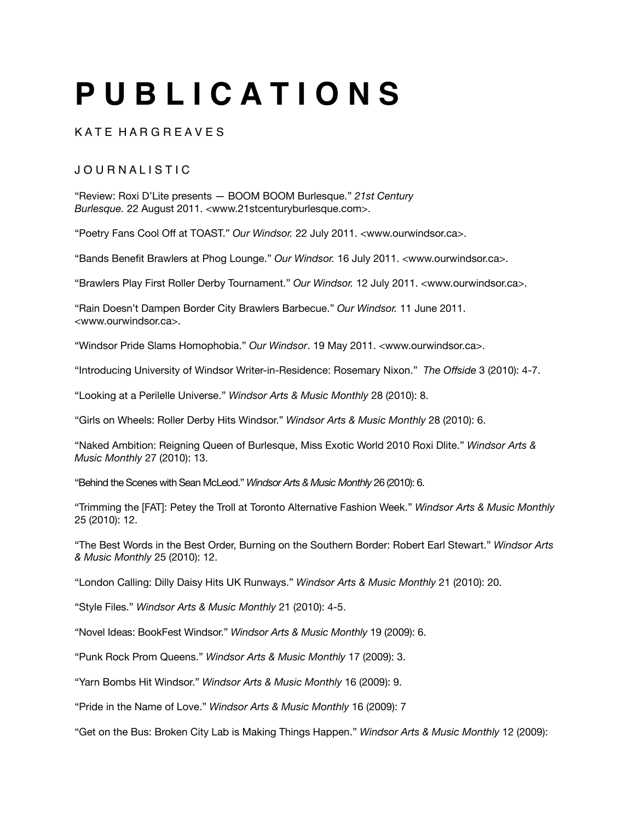# **P U B L I C A T I O N S**

### K A T F H A R G R F A V F S

## J O U R N A L I S T I C

"Review: Roxi D'Lite presents — BOOM BOOM Burlesque." *21st Century Burlesque.* 22 August 2011. <www.21stcenturyburlesque.com>.

"Poetry Fans Cool Off at TOAST." *Our Windsor.* 22 July 2011. <www.ourwindsor.ca>.

"Bands Benefit Brawlers at Phog Lounge." *Our Windsor.* 16 July 2011. <www.ourwindsor.ca>.

"Brawlers Play First Roller Derby Tournament." *Our Windsor.* 12 July 2011. <www.ourwindsor.ca>.

"Rain Doesn't Dampen Border City Brawlers Barbecue." *Our Windsor.* 11 June 2011. <www.ourwindsor.ca>.

"Windsor Pride Slams Homophobia." *Our Windsor*. 19 May 2011. <www.ourwindsor.ca>.

"Introducing University of Windsor Writer-in-Residence: Rosemary Nixon." *The Offside* 3 (2010): 4-7.

"Looking at a Perilelle Universe." *Windsor Arts & Music Monthly* 28 (2010): 8.

"Girls on Wheels: Roller Derby Hits Windsor." *Windsor Arts & Music Monthly* 28 (2010): 6.

"Naked Ambition: Reigning Queen of Burlesque, Miss Exotic World 2010 Roxi Dlite." *Windsor Arts & Music Monthly* 27 (2010): 13.

"Behind the Scenes with Sean McLeod." *Windsor Arts & Music Monthly* 26 (2010): 6.

"Trimming the [FAT]: Petey the Troll at Toronto Alternative Fashion Week." *Windsor Arts & Music Monthly* 25 (2010): 12.

"The Best Words in the Best Order, Burning on the Southern Border: Robert Earl Stewart." *Windsor Arts & Music Monthly* 25 (2010): 12.

"London Calling: Dilly Daisy Hits UK Runways." *Windsor Arts & Music Monthly* 21 (2010): 20.

"Style Files." *Windsor Arts & Music Monthly* 21 (2010): 4-5.

"Novel Ideas: BookFest Windsor." *Windsor Arts & Music Monthly* 19 (2009): 6.

"Punk Rock Prom Queens." *Windsor Arts & Music Monthly* 17 (2009): 3.

"Yarn Bombs Hit Windsor." *Windsor Arts & Music Monthly* 16 (2009): 9.

"Pride in the Name of Love." *Windsor Arts & Music Monthly* 16 (2009): 7

"Get on the Bus: Broken City Lab is Making Things Happen." *Windsor Arts & Music Monthly* 12 (2009):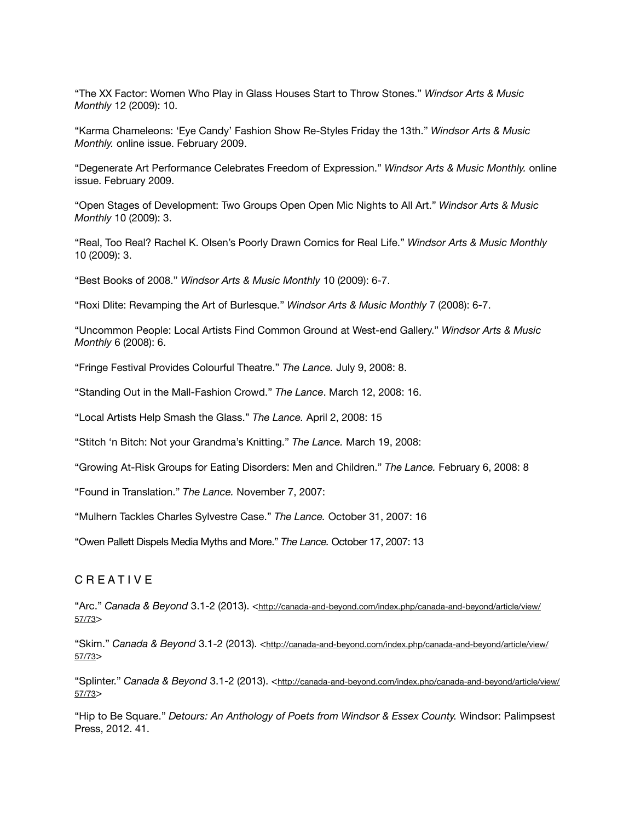"The XX Factor: Women Who Play in Glass Houses Start to Throw Stones." *Windsor Arts & Music Monthly* 12 (2009): 10.

"Karma Chameleons: 'Eye Candy' Fashion Show Re-Styles Friday the 13th." *Windsor Arts & Music Monthly.* online issue. February 2009.

"Degenerate Art Performance Celebrates Freedom of Expression." *Windsor Arts & Music Monthly.* online issue. February 2009.

"Open Stages of Development: Two Groups Open Open Mic Nights to All Art." *Windsor Arts & Music Monthly* 10 (2009): 3.

"Real, Too Real? Rachel K. Olsen's Poorly Drawn Comics for Real Life." *Windsor Arts & Music Monthly*  10 (2009): 3.

"Best Books of 2008." *Windsor Arts & Music Monthly* 10 (2009): 6-7.

"Roxi Dlite: Revamping the Art of Burlesque." *Windsor Arts & Music Monthly* 7 (2008): 6-7.

"Uncommon People: Local Artists Find Common Ground at West-end Gallery." *Windsor Arts & Music Monthly* 6 (2008): 6.

"Fringe Festival Provides Colourful Theatre." *The Lance.* July 9, 2008: 8.

"Standing Out in the Mall-Fashion Crowd." *The Lance*. March 12, 2008: 16.

"Local Artists Help Smash the Glass." *The Lance.* April 2, 2008: 15

"Stitch 'n Bitch: Not your Grandma's Knitting." *The Lance.* March 19, 2008:

"Growing At-Risk Groups for Eating Disorders: Men and Children." *The Lance.* February 6, 2008: 8

"Found in Translation." *The Lance.* November 7, 2007:

"Mulhern Tackles Charles Sylvestre Case." *The Lance.* October 31, 2007: 16

"Owen Pallett Dispels Media Myths and More." *The Lance.* October 17, 2007: 13

#### C R E A T I V E

"Arc." *Canada & Beyond* 3.1-2 [\(2013\). <http://canada-and-beyond.com/index.php/canada-and-beyond/article/view/](http://canada-and-beyond.com/index.php/canada-and-beyond/article/view/57/73) 57/73>

"Skim." Canada & Beyond 3.1-2 [\(2013\). <http://canada-and-beyond.com/index.php/canada-and-beyond/article/view/](http://canada-and-beyond.com/index.php/canada-and-beyond/article/view/57/73) 57/73>

"Splinter." Canada & Beyond 3.1-2 [\(2013\). <http://canada-and-beyond.com/index.php/canada-and-beyond/article/view/](http://canada-and-beyond.com/index.php/canada-and-beyond/article/view/57/73) 57/73>

"Hip to Be Square." *Detours: An Anthology of Poets from Windsor & Essex County.* Windsor: Palimpsest Press, 2012. 41.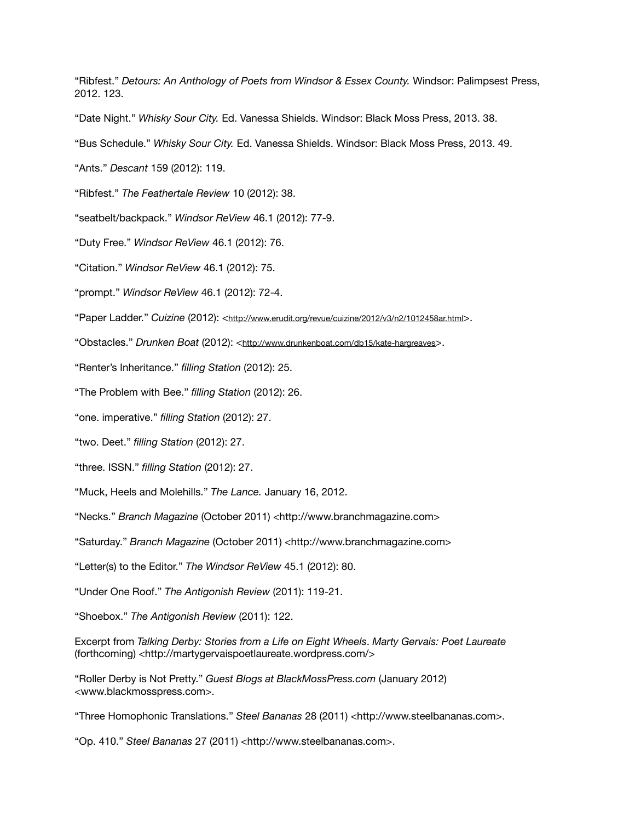"Ribfest." *Detours: An Anthology of Poets from Windsor & Essex County.* Windsor: Palimpsest Press, 2012. 123.

"Date Night." *Whisky Sour City.* Ed. Vanessa Shields. Windsor: Black Moss Press, 2013. 38.

"Bus Schedule." *Whisky Sour City.* Ed. Vanessa Shields. Windsor: Black Moss Press, 2013. 49.

"Ants." *Descant* 159 (2012): 119.

"Ribfest." *The Feathertale Review* 10 (2012): 38.

"seatbelt/backpack." *Windsor ReView* 46.1 (2012): 77-9.

"Duty Free." *Windsor ReView* 46.1 (2012): 76.

"Citation." *Windsor ReView* 46.1 (2012): 75.

"prompt." *Windsor ReView* 46.1 (2012): 72-4.

"Paper Ladder." *Cuizine* (2012): [<http://www.erudit.org/revue/cuizine/2012/v3/n2/1012458ar.html](http://www.erudit.org/revue/cuizine/2012/v3/n2/1012458ar.html)>.

"Obstacles." *Drunken Boat* (2012): <<http://www.drunkenboat.com/db15/kate-hargreaves>>.

"Renter's Inheritance." *filling Station* (2012): 25.

"The Problem with Bee." *filling Station* (2012): 26.

"one. imperative." *filling Station* (2012): 27.

"two. Deet." *filling Station* (2012): 27.

"three. ISSN." *filling Station* (2012): 27.

"Muck, Heels and Molehills." *The Lance.* January 16, 2012.

"Necks." *Branch Magazine* (October 2011) <http://www.branchmagazine.com>

"Saturday." *Branch Magazine* (October 2011) <http://www.branchmagazine.com>

"Letter(s) to the Editor." *The Windsor ReView* 45.1 (2012): 80.

"Under One Roof." *The Antigonish Review* (2011): 119-21.

"Shoebox." *The Antigonish Review* (2011): 122.

Excerpt from *Talking Derby: Stories from a Life on Eight Wheels*. *Marty Gervais: Poet Laureate* (forthcoming) <http://martygervaispoetlaureate.wordpress.com/>

"Roller Derby is Not Pretty." *Guest Blogs at BlackMossPress.com* (January 2012) <www.blackmosspress.com>.

"Three Homophonic Translations." *Steel Bananas* 28 (2011) <http://www.steelbananas.com>.

"Op. 410." *Steel Bananas* 27 (2011) <http://www.steelbananas.com>.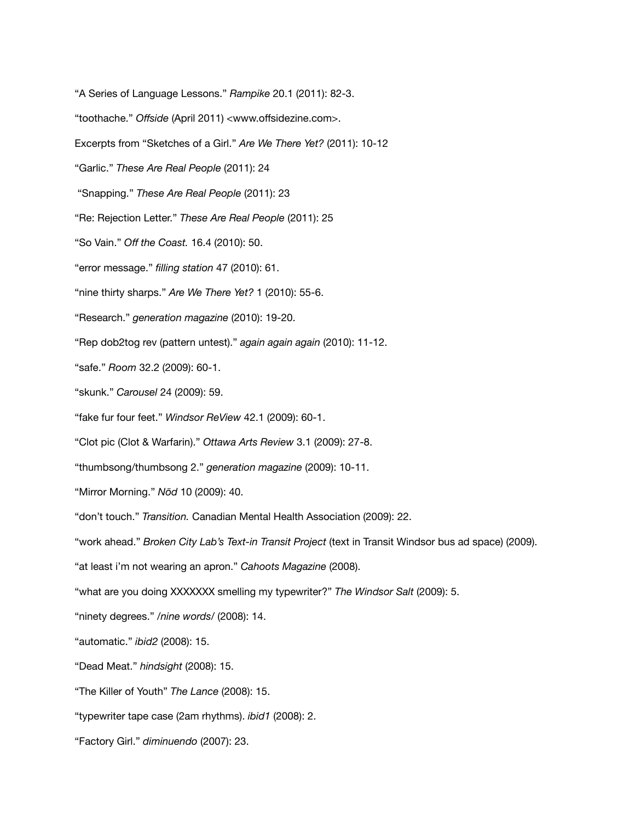"A Series of Language Lessons." *Rampike* 20.1 (2011): 82-3. "toothache." *Offside* (April 2011) <www.offsidezine.com>. Excerpts from "Sketches of a Girl." *Are We There Yet?* (2011): 10-12 "Garlic." *These Are Real People* (2011): 24 "Snapping." *These Are Real People* (2011): 23 "Re: Rejection Letter." *These Are Real People* (2011): 25 "So Vain." *Off the Coast.* 16.4 (2010): 50. "error message." *filling station* 47 (2010): 61. "nine thirty sharps." *Are We There Yet?* 1 (2010): 55-6. "Research." *generation magazine* (2010): 19-20. "Rep dob2tog rev (pattern untest)." *again again again* (2010): 11-12. "safe." *Room* 32.2 (2009): 60-1. "skunk." *Carousel* 24 (2009): 59. "fake fur four feet." *Windsor ReView* 42.1 (2009): 60-1. "Clot pic (Clot & Warfarin)." *Ottawa Arts Review* 3.1 (2009): 27-8. "thumbsong/thumbsong 2." *generation magazine* (2009): 10-11. "Mirror Morning." *Nöd* 10 (2009): 40. "don't touch." *Transition.* Canadian Mental Health Association (2009): 22. "work ahead." *Broken City Lab's Text-in Transit Project* (text in Transit Windsor bus ad space) (2009). "at least i'm not wearing an apron." *Cahoots Magazine* (2008). "what are you doing XXXXXXX smelling my typewriter?" *The Windsor Salt* (2009): 5. "ninety degrees." */nine words/* (2008): 14. "automatic." *ibid2* (2008): 15. "Dead Meat." *hindsight* (2008): 15. "The Killer of Youth" *The Lance* (2008): 15. "typewriter tape case (2am rhythms). *ibid1* (2008): 2. "Factory Girl." *diminuendo* (2007): 23.